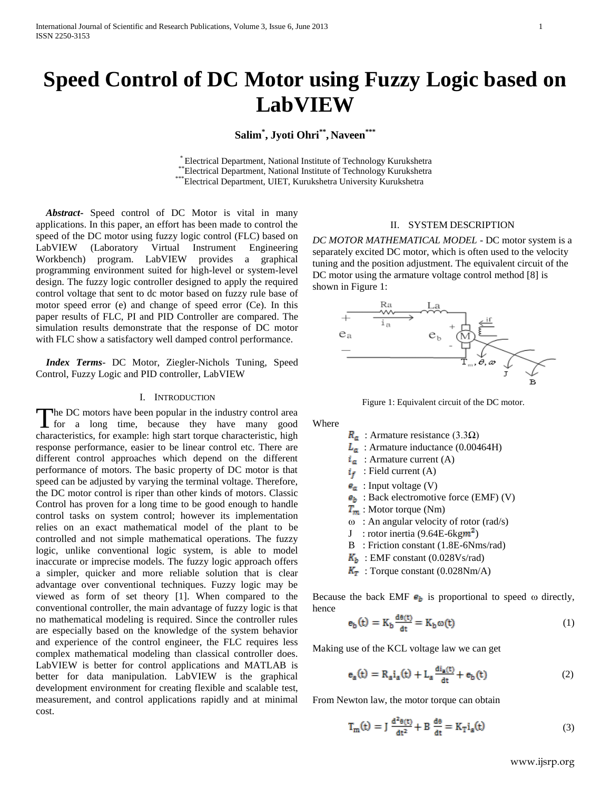# **Speed Control of DC Motor using Fuzzy Logic based on LabVIEW**

**Salim\* , Jyoti Ohri\*\* , Naveen\*\*\***

\* Electrical Department, National Institute of Technology Kurukshetra \*\*Electrical Department, National Institute of Technology Kurukshetra \*\*\*Electrical Department, UIET, Kurukshetra University Kurukshetra

 *Abstract***-** Speed control of DC Motor is vital in many applications. In this paper, an effort has been made to control the speed of the DC motor using fuzzy logic control (FLC) based on LabVIEW (Laboratory Virtual Instrument Engineering Workbench) program. LabVIEW provides a graphical programming environment suited for high-level or system-level design. The fuzzy logic controller designed to apply the required control voltage that sent to dc motor based on fuzzy rule base of motor speed error (e) and change of speed error (Ce). In this paper results of FLC, PI and PID Controller are compared. The simulation results demonstrate that the response of DC motor with FLC show a satisfactory well damped control performance.

 *Index Terms*- DC Motor, Ziegler-Nichols Tuning, Speed Control, Fuzzy Logic and PID controller, LabVIEW

#### I. INTRODUCTION

The DC motors have been popular in the industry control area The DC motors have been popular in the industry control area<br>for a long time, because they have many good characteristics, for example: high start torque characteristic, high response performance, easier to be linear control etc. There are different control approaches which depend on the different performance of motors. The basic property of DC motor is that speed can be adjusted by varying the terminal voltage. Therefore, the DC motor control is riper than other kinds of motors. Classic Control has proven for a long time to be good enough to handle control tasks on system control; however its implementation relies on an exact mathematical model of the plant to be controlled and not simple mathematical operations. The fuzzy logic, unlike conventional logic system, is able to model inaccurate or imprecise models. The fuzzy logic approach offers a simpler, quicker and more reliable solution that is clear advantage over conventional techniques. Fuzzy logic may be viewed as form of set theory [1]. When compared to the conventional controller, the main advantage of fuzzy logic is that no mathematical modeling is required. Since the controller rules are especially based on the knowledge of the system behavior and experience of the control engineer, the FLC requires less complex mathematical modeling than classical controller does. LabVIEW is better for control applications and MATLAB is better for data manipulation. LabVIEW is the graphical development environment for creating flexible and scalable test, measurement, and control applications rapidly and at minimal cost.

## II. SYSTEM DESCRIPTION

*DC MOTOR MATHEMATICAL MODEL* - DC motor system is a separately excited DC motor, which is often used to the velocity tuning and the position adjustment. The equivalent circuit of the DC motor using the armature voltage control method [8] is shown in Figure 1:



Figure 1: Equivalent circuit of the DC motor.

Where

 $R_a$ : Armature resistance (3.3Q)

- $L_a$ : Armature inductance (0.00464H)
- $i_a$  : Armature current (A)
- $i_f$  Field current (A)
- $\mathbf{e}_a$  : Input voltage (V)
- $\mathbf{e}_b$ : Back electromotive force (EMF) (V)
- $T_m$ : Motor torque (Nm)
- $\omega$ : An angular velocity of rotor (rad/s)
- J : rotor inertia  $(9.64E-6kgm^2)$
- B : Friction constant (1.8E-6Nms/rad)
- $K_b$ : EMF constant (0.028Vs/rad)
- $K_T$ : Torque constant (0.028Nm/A)

Because the back EMF  $e_b$  is proportional to speed  $\omega$  directly, hence

$$
\mathbf{e}_{\mathbf{b}}(\mathbf{t}) = \mathbf{K}_{\mathbf{b}} \frac{\mathbf{d}\mathbf{e}(\mathbf{t})}{\mathbf{d}\mathbf{t}} = \mathbf{K}_{\mathbf{b}} \boldsymbol{\omega}(\mathbf{t}) \tag{1}
$$

Making use of the KCL voltage law we can get

$$
e_{a}(t) = R_{a}i_{a}(t) + L_{a}\frac{di_{a}(t)}{dt} + e_{b}(t)
$$
 (2)

From Newton law, the motor torque can obtain

$$
T_m(t) = J \frac{d^2\theta(t)}{dt^2} + B \frac{d\theta}{dt} = K_T i_a(t)
$$
 (3)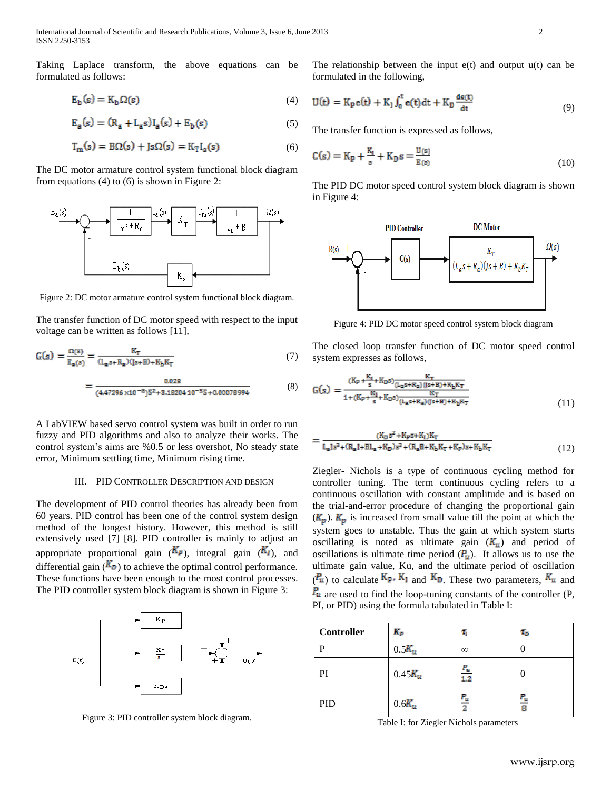International Journal of Scientific and Research Publications, Volume 3, Issue 6, June 2013 2 ISSN 2250-3153

Taking Laplace transform, the above equations can be formulated as follows:

$$
E_b(s) = K_b \Omega(s) \tag{4}
$$

$$
E_a(s) = (R_a + L_a s)I_a(s) + E_b(s)
$$
 (5)

$$
T_m(s) = B\Omega(s) + Js\Omega(s) = K_T I_a(s)
$$
\n(6)

The DC motor armature control system functional block diagram from equations (4) to (6) is shown in Figure 2:



Figure 2: DC motor armature control system functional block diagram.

The transfer function of DC motor speed with respect to the input voltage can be written as follows [11],

$$
G(s) = \frac{\Omega(s)}{E_a(s)} = \frac{K_T}{(L_a s + R_a)(s + B) + K_b K_T}
$$
(7)  
= 
$$
\frac{0.028}{(4.47295 \times 10^{-8})S^2 + 3.92294 \times 10^{-5} S + 0.00279294}
$$
(8)

A LabVIEW based servo control system was built in order to run fuzzy and PID algorithms and also to analyze their works. The control system's aims are %0.5 or less overshot, No steady state error, Minimum settling time, Minimum rising time.

#### III. PID CONTROLLER DESCRIPTION AND DESIGN

The development of PID control theories has already been from 60 years. PID control has been one of the control system design method of the longest history. However, this method is still extensively used [7] [8]. PID controller is mainly to adjust an appropriate proportional gain  $(K_P)$ , integral gain  $(K_I)$ , and differential gain  $(K_D)$  to achieve the optimal control performance. These functions have been enough to the most control processes. The PID controller system block diagram is shown in Figure 3:



Figure 3: PID controller system block diagram.

The relationship between the input  $e(t)$  and output  $u(t)$  can be formulated in the following,

$$
U(t) = K_p e(t) + K_l \int_0^t e(t) dt + K_p \frac{de(t)}{dt}
$$
\n(9)

The transfer function is expressed as follows,

$$
C(s) = K_p + \frac{K_t}{s} + K_p s = \frac{U(s)}{E(s)}
$$
(10)

The PID DC motor speed control system block diagram is shown in Figure 4:



Figure 4: PID DC motor speed control system block diagram

The closed loop transfer function of DC motor speed control system expresses as follows,

$$
G(s) = \frac{\frac{(K_P + \frac{K_T}{s} + K_D s)\frac{K_T}{(L_B s + R_B)(s + B) + K_D K_T}}{1 + (K_P + \frac{K_I}{s} + K_D s)\frac{K_T}{(L_B s + R_B)(s + B) + K_D K_T}}}{(11)}
$$

$$
=\frac{(K_D s^2 + K_P s + K_I)K_T}{L_a J s^3 + (R_a J + BL_a + K_D) s^2 + (R_a B + K_b K_T + K_P) s + K_b K_T}
$$
\n(12)

Ziegler- Nichols is a type of continuous cycling method for controller tuning. The term continuous cycling refers to a continuous oscillation with constant amplitude and is based on the trial-and-error procedure of changing the proportional gain  $(K_p)$ .  $K_p$  is increased from small value till the point at which the system goes to unstable. Thus the gain at which system starts oscillating is noted as ultimate gain  $(K_u)$  and period of oscillations is ultimate time period  $(P_u)$ . It allows us to use the ultimate gain value, Ku, and the ultimate period of oscillation  $(P_u)$  to calculate  $K_P$ ,  $K_I$  and  $K_D$ . These two parameters,  $K_u$  and  $P_u$  are used to find the loop-tuning constants of the controller (P, PI, or PID) using the formula tabulated in Table I:

| <b>Controller</b> | $K_p$      | τ,                | $\tau_{\scriptscriptstyle D}$ |
|-------------------|------------|-------------------|-------------------------------|
| D                 | $0.5K_u$   | $\infty$          |                               |
| PI                | $0.45K_u$  | $\frac{P_u}{1.2}$ | 0                             |
| PID               | $0.6K_\mu$ | $\frac{P_u}{2}$   | $\frac{P_u}{8}$               |

Table I: for Ziegler Nichols parameters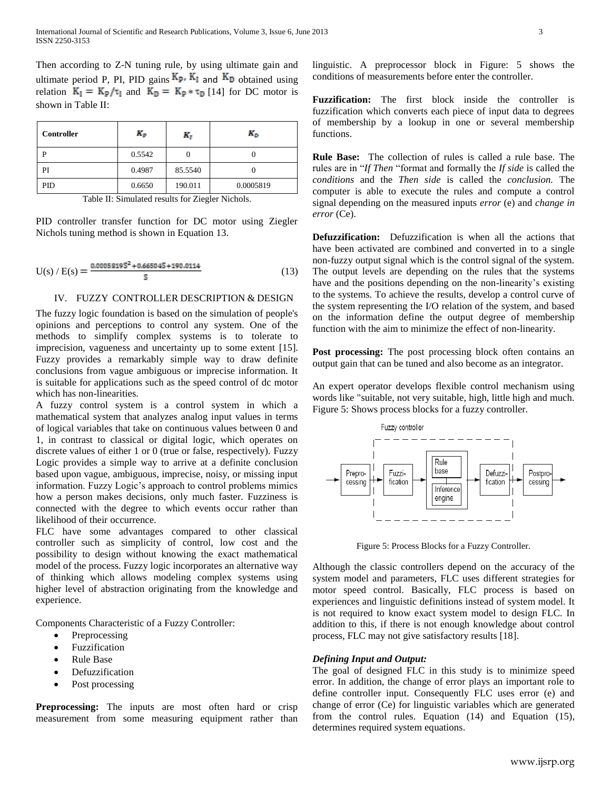Then according to Z-N tuning rule, by using ultimate gain and ultimate period P, PI, PID gains  $K_{P}$ ,  $K_{I}$  and  $K_{D}$  obtained using relation  $K_I = K_p / \tau_I$  and  $K_D = K_p * \tau_D$  [14] for DC motor is shown in Table II:

| Controller | Kp.    | к,      | K <sub>D</sub> |
|------------|--------|---------|----------------|
| D          | 0.5542 |         |                |
| PI         | 0.4987 | 85.5540 |                |
| PID        | 0.6650 | 190.011 | 0.0005819      |

Table II: Simulated results for Ziegler Nichols.

PID controller transfer function for DC motor using Ziegler Nichols tuning method is shown in Equation 13.

$$
U(s) / E(s) = \frac{0.0005819S^2 + 0.66504S + 190.0114}{S}
$$
 (13)

### IV. FUZZY CONTROLLER DESCRIPTION & DESIGN

The fuzzy logic foundation is based on the simulation of people's opinions and perceptions to control any system. One of the methods to simplify complex systems is to tolerate to imprecision, vagueness and uncertainty up to some extent [15]. Fuzzy provides a remarkably simple way to draw definite conclusions from vague ambiguous or imprecise information. It is suitable for applications such as the speed control of dc motor which has non-linearities.

A fuzzy control system is a control system in which a mathematical system that analyzes analog input values in terms of logical variables that take on continuous values between 0 and 1, in contrast to classical or digital logic, which operates on discrete values of either 1 or 0 (true or false, respectively). Fuzzy Logic provides a simple way to arrive at a definite conclusion based upon vague, ambiguous, imprecise, noisy, or missing input information. Fuzzy Logic's approach to control problems mimics how a person makes decisions, only much faster. Fuzziness is connected with the degree to which events occur rather than likelihood of their occurrence.

FLC have some advantages compared to other classical controller such as simplicity of control, low cost and the possibility to design without knowing the exact mathematical model of the process. Fuzzy logic incorporates an alternative way of thinking which allows modeling complex systems using higher level of abstraction originating from the knowledge and experience.

Components Characteristic of a Fuzzy Controller:

- Preprocessing
- Fuzzification
- Rule Base
- Defuzzification
- Post processing

**Preprocessing:** The inputs are most often hard or crisp measurement from some measuring equipment rather than linguistic. A preprocessor block in Figure: 5 shows the conditions of measurements before enter the controller.

**Fuzzification:** The first block inside the controller is fuzzification which converts each piece of input data to degrees of membership by a lookup in one or several membership functions.

**Rule Base:** The collection of rules is called a rule base. The rules are in "*If Then* "format and formally the *If side* is called the *conditions* and the *Then side* is called the *conclusion.* The computer is able to execute the rules and compute a control signal depending on the measured inputs *error* (e) and *change in error* (Ce).

**Defuzzification:** Defuzzification is when all the actions that have been activated are combined and converted in to a single non-fuzzy output signal which is the control signal of the system. The output levels are depending on the rules that the systems have and the positions depending on the non-linearity's existing to the systems. To achieve the results, develop a control curve of the system representing the I/O relation of the system, and based on the information define the output degree of membership function with the aim to minimize the effect of non-linearity.

**Post processing:** The post processing block often contains an output gain that can be tuned and also become as an integrator.

An expert operator develops flexible control mechanism using words like "suitable, not very suitable, high, little high and much. Figure 5: Shows process blocks for a fuzzy controller.



Figure 5: Process Blocks for a Fuzzy Controller.

Although the classic controllers depend on the accuracy of the system model and parameters, FLC uses different strategies for motor speed control. Basically, FLC process is based on experiences and linguistic definitions instead of system model. It is not required to know exact system model to design FLC. In addition to this, if there is not enough knowledge about control process, FLC may not give satisfactory results [18].

# *Defining Input and Output:*

The goal of designed FLC in this study is to minimize speed error. In addition, the change of error plays an important role to define controller input. Consequently FLC uses error (e) and change of error (Ce) for linguistic variables which are generated from the control rules. Equation (14) and Equation (15), determines required system equations.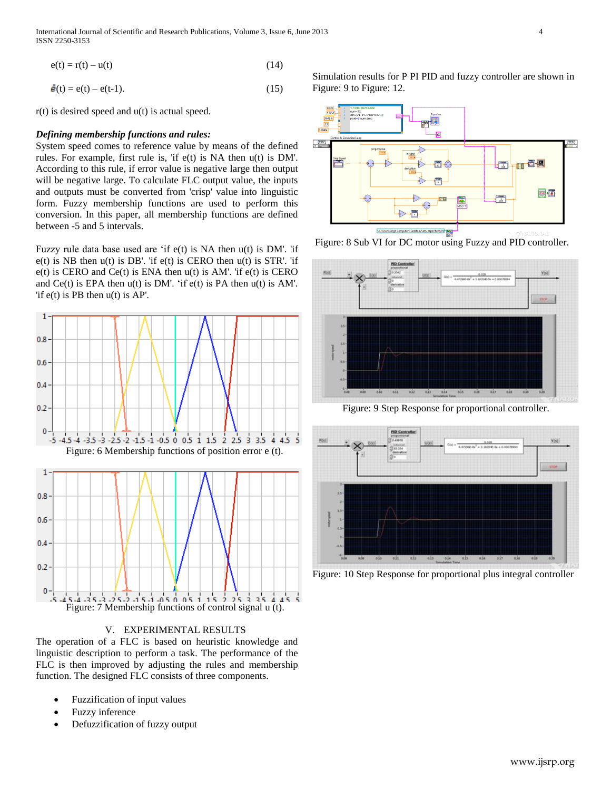International Journal of Scientific and Research Publications, Volume 3, Issue 6, June 2013 4 ISSN 2250-3153

 $e(t) = r(t) - u(t)$  (14)

$$
\dot{\mathbf{e}}(t) = e(t) - e(t-1). \tag{15}
$$

r(t) is desired speed and u(t) is actual speed.

## *Defining membership functions and rules:*

System speed comes to reference value by means of the defined rules. For example, first rule is, 'if e(t) is NA then u(t) is DM'. According to this rule, if error value is negative large then output will be negative large. To calculate FLC output value, the inputs and outputs must be converted from 'crisp' value into linguistic form. Fuzzy membership functions are used to perform this conversion. In this paper, all membership functions are defined between -5 and 5 intervals.

Fuzzy rule data base used are 'if  $e(t)$  is NA then  $u(t)$  is DM'. 'if  $e(t)$  is NB then  $u(t)$  is DB'. 'if  $e(t)$  is CERO then  $u(t)$  is STR'. 'if  $e(t)$  is CERO and C $e(t)$  is ENA then  $u(t)$  is AM'. 'if  $e(t)$  is CERO and  $Ce(t)$  is EPA then  $u(t)$  is DM'. 'if  $e(t)$  is PA then  $u(t)$  is AM'. 'if  $e(t)$  is PB then  $u(t)$  is AP'.



V. EXPERIMENTAL RESULTS

The operation of a FLC is based on heuristic knowledge and linguistic description to perform a task. The performance of the FLC is then improved by adjusting the rules and membership function. The designed FLC consists of three components.

- Fuzzification of input values
- Fuzzy inference
- Defuzzification of fuzzy output

Simulation results for P PI PID and fuzzy controller are shown in Figure: 9 to Figure: 12.







Figure: 9 Step Response for proportional controller.



Figure: 10 Step Response for proportional plus integral controller